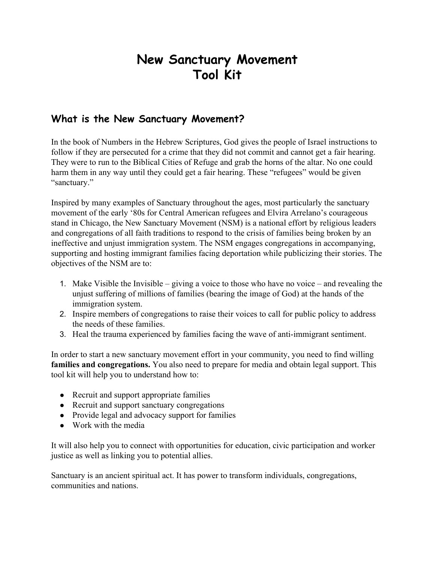# **New Sanctuary Movement Tool Kit**

# **What is the New Sanctuary Movement?**

In the book of Numbers in the Hebrew Scriptures, God gives the people of Israel instructions to follow if they are persecuted for a crime that they did not commit and cannot get a fair hearing. They were to run to the Biblical Cities of Refuge and grab the horns of the altar. No one could harm them in any way until they could get a fair hearing. These "refugees" would be given "sanctuary."

Inspired by many examples of Sanctuary throughout the ages, most particularly the sanctuary movement of the early '80s for Central American refugees and Elvira Arrelano's courageous stand in Chicago, the New Sanctuary Movement (NSM) is a national effort by religious leaders and congregations of all faith traditions to respond to the crisis of families being broken by an ineffective and unjust immigration system. The NSM engages congregations in accompanying, supporting and hosting immigrant families facing deportation while publicizing their stories. The objectives of the NSM are to:

- 1. Make Visible the Invisible giving a voice to those who have no voice and revealing the unjust suffering of millions of families (bearing the image of God) at the hands of the immigration system.
- 2. Inspire members of congregations to raise their voices to call for public policy to address the needs of these families.
- 3. Heal the trauma experienced by families facing the wave of anti-immigrant sentiment.

In order to start a new sanctuary movement effort in your community, you need to find willing **familiesand congregations.** You also need to prepare for media and obtain legal support. This tool kit will help you to understand how to:

- Recruit and support appropriate families
- Recruit and support sanctuary congregations
- Provide legal and advocacy support for families
- Work with the media

It will also help you to connect with opportunities for education, civic participation and worker justice as well as linking you to potential allies.

Sanctuary is an ancient spiritual act. It has power to transform individuals, congregations, communities and nations.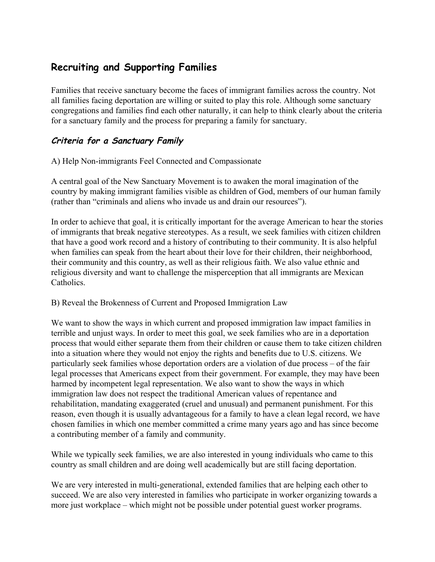# **Recruiting and Supporting Families**

Families that receive sanctuary become the faces of immigrant families across the country. Not all families facing deportation are willing or suited to play this role. Although some sanctuary congregations and families find each other naturally, it can help to think clearly about the criteria for a sanctuary family and the process for preparing a family for sanctuary.

# **Criteria for <sup>a</sup> Sanctuary Family**

A) Help Non-immigrants Feel Connected and Compassionate

A central goal of the New Sanctuary Movement is to awaken the moral imagination of the country by making immigrant families visible as children of God, members of our human family (rather than "criminals and aliens who invade us and drain our resources").

In order to achieve that goal, it is critically important for the average American to hear the stories of immigrants that break negative stereotypes. As a result, we seek families with citizen children that have a good work record and a history of contributing to their community. It is also helpful when families can speak from the heart about their love for their children, their neighborhood, their community and this country, as well as their religious faith. We also value ethnic and religious diversity and want to challenge the misperception that all immigrants are Mexican **Catholics** 

# B) Reveal the Brokenness of Current and Proposed Immigration Law

We want to show the ways in which current and proposed immigration law impact families in terrible and unjust ways. In order to meet this goal, we seek families who are in a deportation process that would either separate them from their children or cause them to take citizen children into a situation where they would not enjoy the rights and benefits due to U.S. citizens. We particularly seek families whose deportation orders are a violation of due process – of the fair legal processes that Americans expect from their government. For example, they may have been harmed by incompetent legal representation. We also want to show the ways in which immigration law does not respect the traditional American values of repentance and rehabilitation, mandating exaggerated (cruel and unusual) and permanent punishment. For this reason, even though it is usually advantageous for a family to have a clean legal record, we have chosen families in which one member committed a crime many years ago and has since become a contributing member of a family and community.

While we typically seek families, we are also interested in young individuals who came to this country as small children and are doing well academically but are still facing deportation.

We are very interested in multi-generational, extended families that are helping each other to succeed. We are also very interested in families who participate in worker organizing towards a more just workplace – which might not be possible under potential guest worker programs.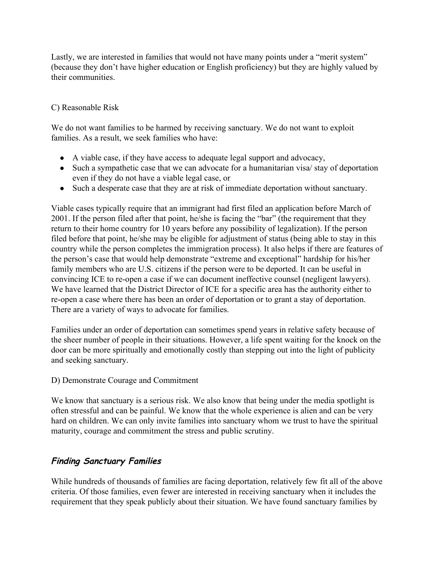Lastly, we are interested in families that would not have many points under a "merit system" (because they don't have higher education or English proficiency) but they are highly valued by their communities.

#### C) Reasonable Risk

We do not want families to be harmed by receiving sanctuary. We do not want to exploit families. As a result, we seek families who have:

- A viable case, if they have access to adequate legal support and advocacy,
- Such a sympathetic case that we can advocate for a humanitarian visa/ stay of deportation even if they do not have a viable legal case, or
- Such a desperate case that they are at risk of immediate deportation without sanctuary.

Viable cases typically require that an immigrant had first filed an application before March of 2001. If the person filed after that point, he/she is facing the "bar" (the requirement that they return to their home country for 10 years before any possibility of legalization). If the person filed before that point, he/she may be eligible for adjustment of status (being able to stay in this country while the person completes the immigration process). It also helps if there are features of the person's case that would help demonstrate "extreme and exceptional" hardship for his/her family members who are U.S. citizens if the person were to be deported. It can be useful in convincing ICE to re-open a case if we can document ineffective counsel (negligent lawyers). We have learned that the District Director of ICE for a specific area has the authority either to re-open a case where there has been an order of deportation or to grant a stay of deportation. There are a variety of ways to advocate for families.

Families under an order of deportation can sometimes spend years in relative safety because of the sheer number of people in their situations. However, a life spent waiting for the knock on the door can be more spiritually and emotionally costly than stepping out into the light of publicity and seeking sanctuary.

#### D) Demonstrate Courage and Commitment

We know that sanctuary is a serious risk. We also know that being under the media spotlight is often stressful and can be painful. We know that the whole experience is alien and can be very hard on children. We can only invite families into sanctuary whom we trust to have the spiritual maturity, courage and commitment the stress and public scrutiny.

# **Finding Sanctuary Families**

While hundreds of thousands of families are facing deportation, relatively few fit all of the above criteria. Of those families, even fewer are interested in receiving sanctuary when it includes the requirement that they speak publicly about their situation. We have found sanctuary families by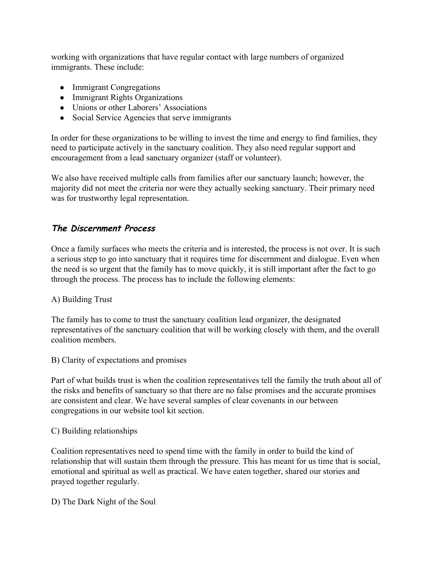working with organizations that have regular contact with large numbers of organized immigrants. These include:

- Immigrant Congregations
- Immigrant Rights Organizations
- Unions or other Laborers' Associations
- Social Service Agencies that serve immigrants

In order for these organizations to be willing to invest the time and energy to find families, they need to participate actively in the sanctuary coalition. They also need regular support and encouragement from a lead sanctuary organizer (staff or volunteer).

We also have received multiple calls from families after our sanctuary launch; however, the majority did not meet the criteria nor were they actually seeking sanctuary. Their primary need was for trustworthy legal representation.

# **The Discernment Process**

Once a family surfaces who meets the criteria and is interested, the process is not over. It is such a serious step to go into sanctuary that it requires time for discernment and dialogue. Even when the need is so urgent that the family has to move quickly, it is still important after the fact to go through the process. The process has to include the following elements:

# A) Building Trust

The family has to come to trust the sanctuary coalition lead organizer, the designated representatives of the sanctuary coalition that will be working closely with them, and the overall coalition members.

B) Clarity of expectations and promises

Part of what builds trust is when the coalition representatives tell the family the truth about all of the risks and benefits of sanctuary so that there are no false promises and the accurate promises are consistent and clear. We have several samples of clear covenants in our between congregations in our website tool kit section.

#### C) Building relationships

Coalition representatives need to spend time with the family in order to build the kind of relationship that will sustain them through the pressure. This has meant for us time that is social, emotional and spiritual as well as practical. We have eaten together, shared our stories and prayed together regularly.

D) The Dark Night of the Soul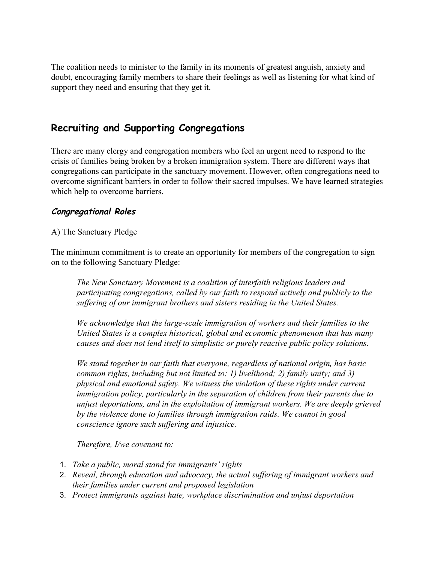The coalition needs to minister to the family in its moments of greatest anguish, anxiety and doubt, encouraging family members to share their feelings as well as listening for what kind of support they need and ensuring that they get it.

# **Recruiting and Supporting Congregations**

There are many clergy and congregation members who feel an urgent need to respond to the crisis of families being broken by a broken immigration system. There are different ways that congregations can participate in the sanctuary movement. However, often congregations need to overcome significant barriers in order to follow their sacred impulses. We have learned strategies which help to overcome barriers.

# **Congregational Roles**

#### A) The Sanctuary Pledge

The minimum commitment is to create an opportunity for members of the congregation to sign on to the following Sanctuary Pledge:

*The New Sanctuary Movement is a coalition of interfaith religious leaders and participating congregations, called by our faith to respond actively and publicly to the suf ering of our immigrant brothers and sisters residing in the United States.*

*We* acknowledge that the large-scale *immigration* of workers and their families to the *United States is a complex historical, global and economic phenomenon that has many causes and does not lend itself to simplistic or purely reactive public policy solutions.*

*We stand together in our faith that everyone, regardless of national origin, has basic common rights, including but not limited to: 1) livelihood; 2) family unity; and 3) physical and emotional safety. We witness the violation of these rights under current immigration policy, particularly in the separation of children from their parents due to unjust deportations, and in the exploitation of immigrant workers. We are deeply grieved by the violence done to families through immigration raids. We cannot in good conscience ignore such suf ering and injustice.*

*Therefore, I/we covenant to:*

- 1. *Take a public, moral stand for immigrants' rights*
- 2. *Reveal, through education and advocacy, the actual suf ering of immigrant workers and their families under current and proposed legislation*
- 3. *Protect immigrants against hate, workplace discrimination and unjust deportation*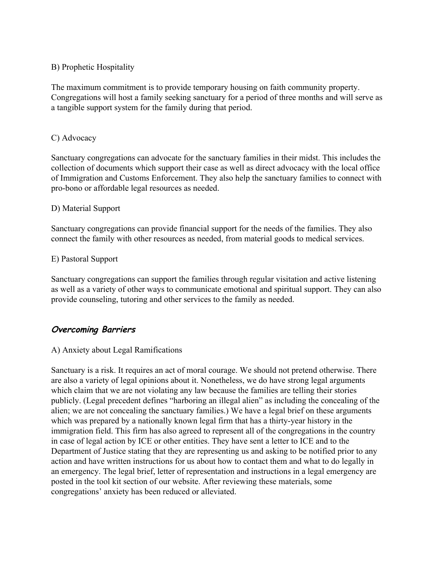#### B) Prophetic Hospitality

The maximum commitment is to provide temporary housing on faith community property. Congregations will host a family seeking sanctuary for a period of three months and will serve as a tangible support system for the family during that period.

#### C) Advocacy

Sanctuary congregations can advocate for the sanctuary families in their midst. This includes the collection of documents which support their case as well as direct advocacy with the local office of Immigration and Customs Enforcement. They also help the sanctuary families to connect with pro-bono or affordable legal resources as needed.

#### D) Material Support

Sanctuary congregations can provide financial support for the needs of the families. They also connect the family with other resources as needed, from material goods to medical services.

#### E) Pastoral Support

Sanctuary congregations can support the families through regular visitation and active listening as well as a variety of other ways to communicate emotional and spiritual support. They can also provide counseling, tutoring and other services to the family as needed.

# **Overcoming Barriers**

#### A) Anxiety about Legal Ramifications

Sanctuary is a risk. It requires an act of moral courage. We should not pretend otherwise. There are also a variety of legal opinions about it. Nonetheless, we do have strong legal arguments which claim that we are not violating any law because the families are telling their stories publicly. (Legal precedent defines "harboring an illegal alien" as including the concealing of the alien; we are not concealing the sanctuary families.) We have a legal brief on these arguments which was prepared by a nationally known legal firm that has a thirty-year history in the immigration field. This firm has also agreed to represent all of the congregations in the country in case of legal action by ICE or other entities. They have sent a letter to ICE and to the Department of Justice stating that they are representing us and asking to be notified prior to any action and have written instructions for us about how to contact them and what to do legally in an emergency. The legal brief, letter of representation and instructions in a legal emergency are posted in the tool kit section of our website. After reviewing these materials, some congregations' anxiety has been reduced or alleviated.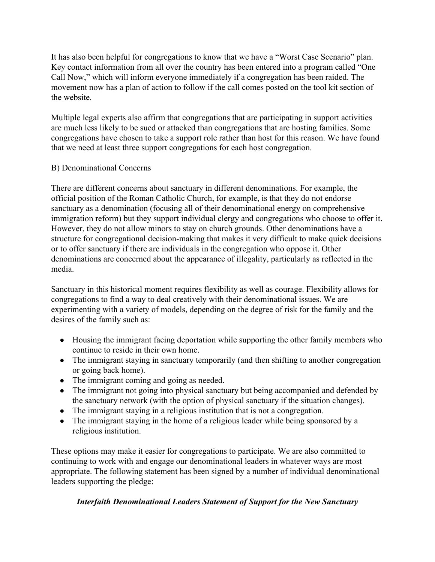It has also been helpful for congregations to know that we have a "Worst Case Scenario" plan. Key contact information from all over the country has been entered into a program called "One Call Now," which will inform everyone immediately if a congregation has been raided. The movement now has a plan of action to follow if the call comes posted on the tool kit section of the website.

Multiple legal experts also affirm that congregations that are participating in support activities are much less likely to be sued or attacked than congregations that are hosting families. Some congregations have chosen to take a support role rather than host for this reason. We have found that we need at least three support congregations for each host congregation.

#### B) Denominational Concerns

There are different concerns about sanctuary in different denominations. For example, the official position of the Roman Catholic Church, for example, is that they do not endorse sanctuary as a denomination (focusing all of their denominational energy on comprehensive immigration reform) but they support individual clergy and congregations who choose to offer it. However, they do not allow minors to stay on church grounds. Other denominations have a structure for congregational decision-making that makes it very difficult to make quick decisions or to offer sanctuary if there are individuals in the congregation who oppose it. Other denominations are concerned about the appearance of illegality, particularly as reflected in the media.

Sanctuary in this historical moment requires flexibility as well as courage. Flexibility allows for congregations to find a way to deal creatively with their denominational issues. We are experimenting with a variety of models, depending on the degree of risk for the family and the desires of the family such as:

- Housing the immigrant facing deportation while supporting the other family members who continue to reside in their own home.
- The immigrant staying in sanctuary temporarily (and then shifting to another congregation or going back home).
- The immigrant coming and going as needed.
- The immigrant not going into physical sanctuary but being accompanied and defended by the sanctuary network (with the option of physical sanctuary if the situation changes).
- The immigrant staying in a religious institution that is not a congregation.
- The immigrant staying in the home of a religious leader while being sponsored by a religious institution.

These options may make it easier for congregations to participate. We are also committed to continuing to work with and engage our denominational leaders in whatever ways are most appropriate. The following statement has been signed by a number of individual denominational leaders supporting the pledge:

# *Interfaith Denominational Leaders Statement of Support for the New Sanctuary*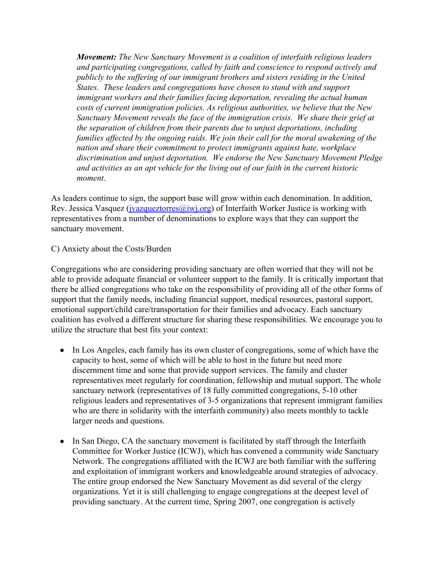*Movement:The New Sanctuary Movement is a coalition of interfaith religious leaders and participating congregations, called by faith and conscience to respond actively and publicly to the suf ering of our immigrant brothers and sisters residing in the United States. These leaders and congregations have chosen to stand with and support immigrant workers and their families facing deportation, revealing the actual human costs of current immigration policies. As religious authorities, we believe that the New Sanctuary Movement reveals the face of the immigration crisis. We share their grief at the separation of children from their parents due to unjust deportations, including families af ected by the ongoing raids. We join their call for the moral awakening of the nation and share their commitment to protect immigrants against hate, workplace discrimination and unjust deportation. We endorse the New Sanctuary Movement Pledge and activities as an apt vehicle for the living out of our faith in the current historic moment*.

As leaders continue to sign, the support base will grow within each denomination. In addition, Rev. Jessica Vasquez (*jvazqueztorres@iwj.org*) of Interfaith Worker Justice is working with representatives from a number of denominations to explore ways that they can support the sanctuary movement.

#### C) Anxiety about the Costs/Burden

Congregations who are considering providing sanctuary are often worried that they will not be able to provide adequate financial or volunteer support to the family. It is critically important that there be allied congregations who take on the responsibility of providing all of the other forms of support that the family needs, including financial support, medical resources, pastoral support, emotional support/child care/transportation for their families and advocacy. Each sanctuary coalition has evolved a different structure for sharing these responsibilities. We encourage you to utilize the structure that best fits your context:

- In Los Angeles, each family has its own cluster of congregations, some of which have the capacity to host, some of which will be able to host in the future but need more discernment time and some that provide support services. The family and cluster representatives meet regularly for coordination, fellowship and mutual support. The whole sanctuary network (representatives of 18 fully committed congregations, 5-10 other religious leaders and representatives of 3-5 organizations that represent immigrant families who are there in solidarity with the interfaith community) also meets monthly to tackle larger needs and questions.
- In San Diego, CA the sanctuary movement is facilitated by staff through the Interfaith Committee for Worker Justice (ICWJ), which has convened a community wide Sanctuary Network. The congregations affiliated with the ICWJ are both familiar with the suffering and exploitation of immigrant workers and knowledgeable around strategies of advocacy. The entire group endorsed the New Sanctuary Movement as did several of the clergy organizations. Yet it is still challenging to engage congregations at the deepest level of providing sanctuary. At the current time, Spring 2007, one congregation is actively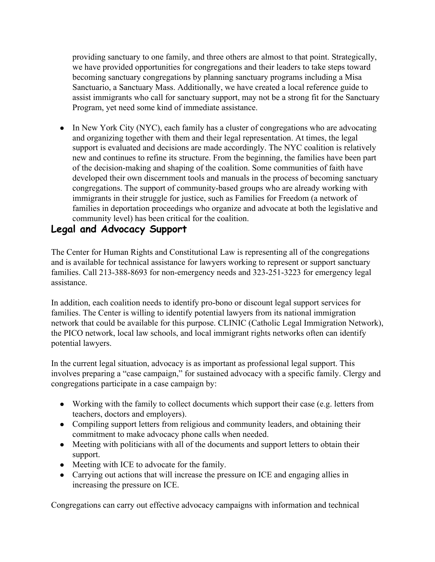providing sanctuary to one family, and three others are almost to that point. Strategically, we have provided opportunities for congregations and their leaders to take steps toward becoming sanctuary congregations by planning sanctuary programs including a Misa Sanctuario, a Sanctuary Mass. Additionally, we have created a local reference guide to assist immigrants who call for sanctuary support, may not be a strong fit for the Sanctuary Program, yet need some kind of immediate assistance.

• In New York City (NYC), each family has a cluster of congregations who are advocating and organizing together with them and their legal representation. At times, the legal support is evaluated and decisions are made accordingly. The NYC coalition is relatively new and continues to refine its structure. From the beginning, the families have been part of the decision-making and shaping of the coalition. Some communities of faith have developed their own discernment tools and manuals in the process of becoming sanctuary congregations. The support of community-based groups who are already working with immigrants in their struggle for justice, such as Families for Freedom (a network of families in deportation proceedings who organize and advocate at both the legislative and community level) has been critical for the coalition.

# **Legal and Advocacy Support**

The Center for Human Rights and Constitutional Law is representing all of the congregations and is available for technical assistance for lawyers working to represent or support sanctuary families. Call 213-388-8693 for non-emergency needs and 323-251-3223 for emergency legal assistance.

In addition, each coalition needs to identify pro-bono or discount legal support services for families. The Center is willing to identify potential lawyers from its national immigration network that could be available for this purpose. CLINIC (Catholic Legal Immigration Network), the PICO network, local law schools, and local immigrant rights networks often can identify potential lawyers.

In the current legal situation, advocacy is as important as professional legal support. This involves preparing a "case campaign," for sustained advocacy with a specific family. Clergy and congregations participate in a case campaign by:

- Working with the family to collect documents which support their case (e.g. letters from teachers, doctors and employers).
- Compiling support letters from religious and community leaders, and obtaining their commitment to make advocacy phone calls when needed.
- Meeting with politicians with all of the documents and support letters to obtain their support.
- Meeting with ICE to advocate for the family.
- Carrying out actions that will increase the pressure on ICE and engaging allies in increasing the pressure on ICE.

Congregations can carry out effective advocacy campaigns with information and technical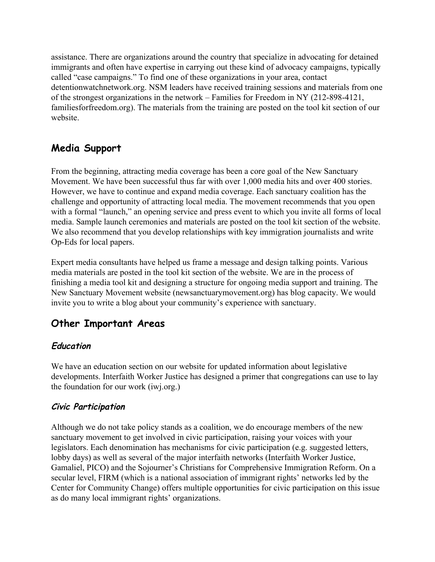assistance. There are organizations around the country that specialize in advocating for detained immigrants and often have expertise in carrying out these kind of advocacy campaigns, typically called "case campaigns." To find one of these organizations in your area, contact detentionwatchnetwork.org. NSM leaders have received training sessions and materials from one of the strongest organizations in the network – Families for Freedom in NY  $(212-898-4121,$ familiesforfreedom.org). The materials from the training are posted on the tool kit section of our website.

# **Media Support**

From the beginning, attracting media coverage has been a core goal of the New Sanctuary Movement. We have been successful thus far with over 1,000 media hits and over 400 stories. However, we have to continue and expand media coverage. Each sanctuary coalition has the challenge and opportunity of attracting local media. The movement recommends that you open with a formal "launch," an opening service and press event to which you invite all forms of local media. Sample launch ceremonies and materials are posted on the tool kit section of the website. We also recommend that you develop relationships with key immigration journalists and write Op-Eds for local papers.

Expert media consultants have helped us frame a message and design talking points. Various media materials are posted in the tool kit section of the website. We are in the process of finishing a media tool kit and designing a structure for ongoing media support and training. The New Sanctuary Movement website (newsanctuarymovement.org) has blog capacity. We would invite you to write a blog about your community's experience with sanctuary.

# **Other Important Areas**

# **Education**

We have an education section on our website for updated information about legislative developments. Interfaith Worker Justice has designed a primer that congregations can use to lay the foundation for our work (iwj.org.)

# **Civic Participation**

Although we do not take policy stands as a coalition, we do encourage members of the new sanctuary movement to get involved in civic participation, raising your voices with your legislators. Each denomination has mechanisms for civic participation (e.g. suggested letters, lobby days) as well as several of the major interfaith networks (Interfaith Worker Justice, Gamaliel, PICO) and the Sojourner's Christians for Comprehensive Immigration Reform. On a secular level, FIRM (which is a national association of immigrant rights' networks led by the Center for Community Change) offers multiple opportunities for civic participation on this issue as do many local immigrant rights' organizations.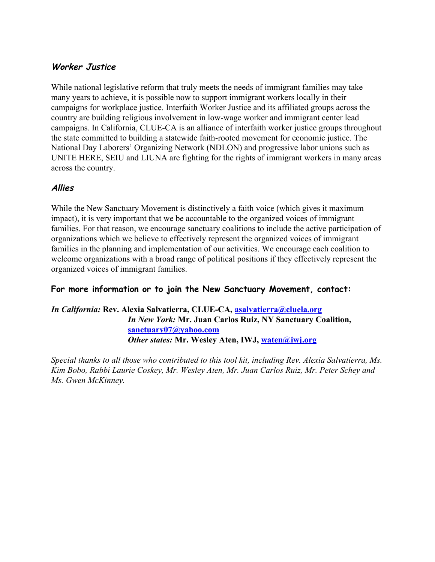# **Worker Justice**

While national legislative reform that truly meets the needs of immigrant families may take many years to achieve, it is possible now to support immigrant workers locally in their campaigns for workplace justice. Interfaith Worker Justice and its affiliated groups across the country are building religious involvement in low-wage worker and immigrant center lead campaigns. In California, CLUE-CA is an alliance of interfaith worker justice groups throughout the state committed to building a statewide faith-rooted movement for economic justice. The National Day Laborers' Organizing Network (NDLON) and progressive labor unions such as UNITE HERE, SEIU and LIUNA are fighting for the rights of immigrant workers in many areas across the country.

# **Allies**

While the New Sanctuary Movement is distinctively a faith voice (which gives it maximum impact), it is very important that we be accountable to the organized voices of immigrant families. For that reason, we encourage sanctuary coalitions to include the active participation of organizations which we believe to effectively represent the organized voices of immigrant families in the planning and implementation of our activities. We encourage each coalition to welcome organizations with a broad range of political positions if they effectively represent the organized voices of immigrant families.

# **For more information or to join the New Sanctuary Movement, contact:**

#### *In California:* **Rev. Alexia Salvatierra, CLUECA, [asalvatierra@cluela.org](mailto:asalvatierra@cluela.org)** *In New York:* **Mr. Juan Carlos Ruiz, NY Sanctuary Coalition, [sanctuary07@yahoo.com](mailto:sanctuary07@yahoo.com)** *Other states:* **Mr. Wesley Aten, IWJ, [waten@iwj.org](mailto:waten@iwj.org)**

*Special thanks to all those who contributed to this tool kit, including Rev. Alexia Salvatierra, Ms. Kim Bobo, Rabbi Laurie Coskey, Mr. Wesley Aten, Mr. Juan Carlos Ruiz, Mr. Peter Schey and Ms. Gwen McKinney.*